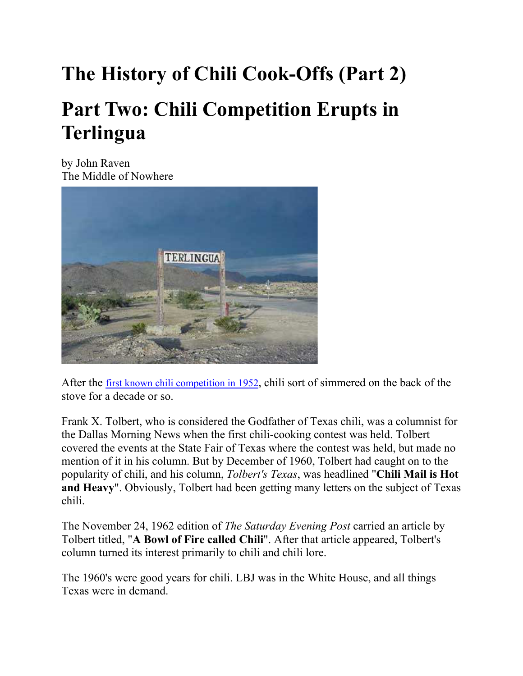# **The History of Chili Cook-Offs (Part 2) Part Two: Chili Competition Erupts in Terlingua**

by John Raven The Middle of Nowhere



After the first known chili competition in 1952, chili sort of simmered on the back of the stove for a decade or so.

Frank X. Tolbert, who is considered the Godfather of Texas chili, was a columnist for the Dallas Morning News when the first chili-cooking contest was held. Tolbert covered the events at the State Fair of Texas where the contest was held, but made no mention of it in his column. But by December of 1960, Tolbert had caught on to the popularity of chili, and his column, *Tolbert's Texas*, was headlined "**Chili Mail is Hot and Heavy**". Obviously, Tolbert had been getting many letters on the subject of Texas chili.

The November 24, 1962 edition of *The Saturday Evening Post* carried an article by Tolbert titled, "**A Bowl of Fire called Chili**". After that article appeared, Tolbert's column turned its interest primarily to chili and chili lore.

The 1960's were good years for chili. LBJ was in the White House, and all things Texas were in demand.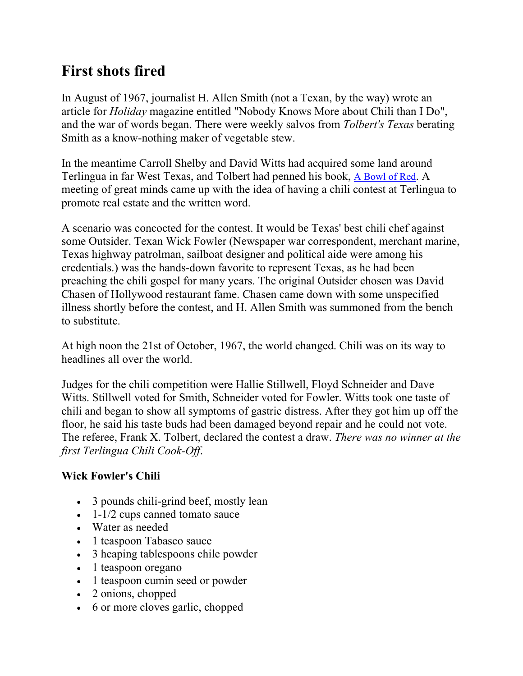## **First shots fired**

In August of 1967, journalist H. Allen Smith (not a Texan, by the way) wrote an article for *Holiday* magazine entitled "Nobody Knows More about Chili than I Do", and the war of words began. There were weekly salvos from *Tolbert's Texas* berating Smith as a know-nothing maker of vegetable stew.

In the meantime Carroll Shelby and David Witts had acquired some land around Terlingua in far West Texas, and Tolbert had penned his book, A Bowl of Red. A meeting of great minds came up with the idea of having a chili contest at Terlingua to promote real estate and the written word.

A scenario was concocted for the contest. It would be Texas' best chili chef against some Outsider. Texan Wick Fowler (Newspaper war correspondent, merchant marine, Texas highway patrolman, sailboat designer and political aide were among his credentials.) was the hands-down favorite to represent Texas, as he had been preaching the chili gospel for many years. The original Outsider chosen was David Chasen of Hollywood restaurant fame. Chasen came down with some unspecified illness shortly before the contest, and H. Allen Smith was summoned from the bench to substitute.

At high noon the 21st of October, 1967, the world changed. Chili was on its way to headlines all over the world.

Judges for the chili competition were Hallie Stillwell, Floyd Schneider and Dave Witts. Stillwell voted for Smith, Schneider voted for Fowler. Witts took one taste of chili and began to show all symptoms of gastric distress. After they got him up off the floor, he said his taste buds had been damaged beyond repair and he could not vote. The referee, Frank X. Tolbert, declared the contest a draw. *There was no winner at the first Terlingua Chili Cook-Off*.

#### **Wick Fowler's Chili**

- 3 pounds chili-grind beef, mostly lean
- $\bullet$  1-1/2 cups canned tomato sauce
- Water as needed
- 1 teaspoon Tabasco sauce
- 3 heaping tablespoons chile powder
- 1 teaspoon oregano
- 1 teaspoon cumin seed or powder
- 2 onions, chopped
- 6 or more cloves garlic, chopped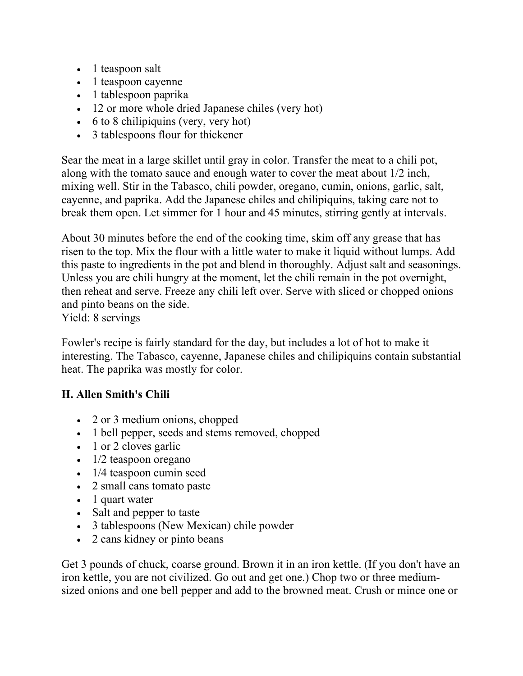- $\bullet$  1 teaspoon salt
- 1 teaspoon cayenne
- 1 tablespoon paprika
- 12 or more whole dried Japanese chiles (very hot)
- $\bullet$  6 to 8 chilipiquins (very, very hot)
- 3 tablespoons flour for thickener

Sear the meat in a large skillet until gray in color. Transfer the meat to a chili pot, along with the tomato sauce and enough water to cover the meat about 1/2 inch, mixing well. Stir in the Tabasco, chili powder, oregano, cumin, onions, garlic, salt, cayenne, and paprika. Add the Japanese chiles and chilipiquins, taking care not to break them open. Let simmer for 1 hour and 45 minutes, stirring gently at intervals.

About 30 minutes before the end of the cooking time, skim off any grease that has risen to the top. Mix the flour with a little water to make it liquid without lumps. Add this paste to ingredients in the pot and blend in thoroughly. Adjust salt and seasonings. Unless you are chili hungry at the moment, let the chili remain in the pot overnight, then reheat and serve. Freeze any chili left over. Serve with sliced or chopped onions and pinto beans on the side.

Yield: 8 servings

Fowler's recipe is fairly standard for the day, but includes a lot of hot to make it interesting. The Tabasco, cayenne, Japanese chiles and chilipiquins contain substantial heat. The paprika was mostly for color.

#### **H. Allen Smith's Chili**

- 2 or 3 medium onions, chopped
- 1 bell pepper, seeds and stems removed, chopped
- 1 or 2 cloves garlic
- $\cdot$  1/2 teaspoon oregano
- 1/4 teaspoon cumin seed
- 2 small cans tomato paste
- 1 quart water
- Salt and pepper to taste
- 3 tablespoons (New Mexican) chile powder
- 2 cans kidney or pinto beans

Get 3 pounds of chuck, coarse ground. Brown it in an iron kettle. (If you don't have an iron kettle, you are not civilized. Go out and get one.) Chop two or three mediumsized onions and one bell pepper and add to the browned meat. Crush or mince one or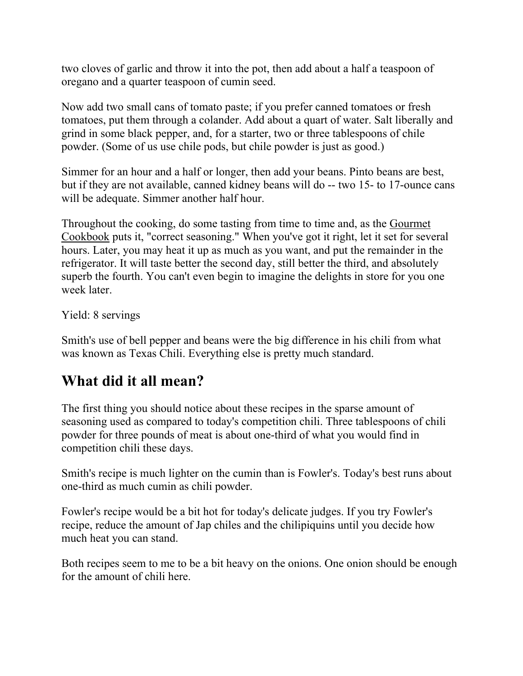two cloves of garlic and throw it into the pot, then add about a half a teaspoon of oregano and a quarter teaspoon of cumin seed.

Now add two small cans of tomato paste; if you prefer canned tomatoes or fresh tomatoes, put them through a colander. Add about a quart of water. Salt liberally and grind in some black pepper, and, for a starter, two or three tablespoons of chile powder. (Some of us use chile pods, but chile powder is just as good.)

Simmer for an hour and a half or longer, then add your beans. Pinto beans are best, but if they are not available, canned kidney beans will do -- two 15- to 17-ounce cans will be adequate. Simmer another half hour.

Throughout the cooking, do some tasting from time to time and, as the Gourmet Cookbook puts it, "correct seasoning." When you've got it right, let it set for several hours. Later, you may heat it up as much as you want, and put the remainder in the refrigerator. It will taste better the second day, still better the third, and absolutely superb the fourth. You can't even begin to imagine the delights in store for you one week later.

Yield: 8 servings

Smith's use of bell pepper and beans were the big difference in his chili from what was known as Texas Chili. Everything else is pretty much standard.

## **What did it all mean?**

The first thing you should notice about these recipes in the sparse amount of seasoning used as compared to today's competition chili. Three tablespoons of chili powder for three pounds of meat is about one-third of what you would find in competition chili these days.

Smith's recipe is much lighter on the cumin than is Fowler's. Today's best runs about one-third as much cumin as chili powder.

Fowler's recipe would be a bit hot for today's delicate judges. If you try Fowler's recipe, reduce the amount of Jap chiles and the chilipiquins until you decide how much heat you can stand.

Both recipes seem to me to be a bit heavy on the onions. One onion should be enough for the amount of chili here.